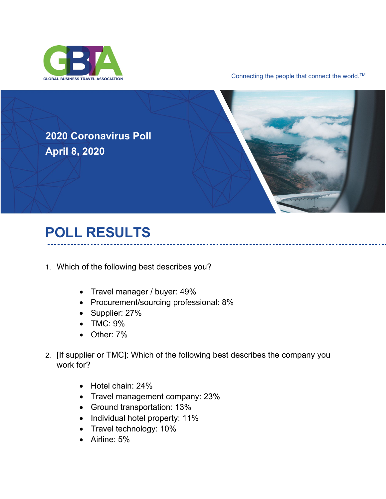

Connecting the people that connect the world.<sup>™</sup>

**2020 Coronavirus Poll April 8, 2020**



## **POLL RESULTS**

- 1. Which of the following best describes you?
	- Travel manager / buyer: 49%
	- Procurement/sourcing professional: 8%
	- Supplier: 27%
	- TMC: 9%
	- Other: 7%
- 2. [If supplier or TMC]: Which of the following best describes the company you work for?
	- Hotel chain: 24%
	- Travel management company: 23%
	- Ground transportation: 13%
	- Individual hotel property: 11%
	- Travel technology: 10%
	- Airline: 5%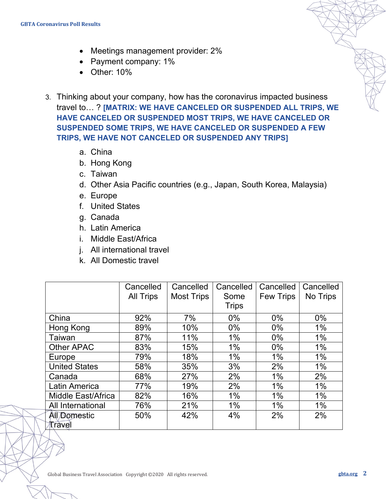- Meetings management provider: 2%
- Payment company: 1%
- Other: 10%
- 3. Thinking about your company, how has the coronavirus impacted business travel to… ? **[MATRIX: WE HAVE CANCELED OR SUSPENDED ALL TRIPS, WE HAVE CANCELED OR SUSPENDED MOST TRIPS, WE HAVE CANCELED OR SUSPENDED SOME TRIPS, WE HAVE CANCELED OR SUSPENDED A FEW TRIPS, WE HAVE NOT CANCELED OR SUSPENDED ANY TRIPS]**
	- a. China
	- b. Hong Kong
	- c. Taiwan
	- d. Other Asia Pacific countries (e.g., Japan, South Korea, Malaysia)
	- e. Europe
	- f. United States
	- g. Canada
	- h. Latin America
	- i. Middle East/Africa
	- j. All international travel
	- k. All Domestic travel

|                      | Cancelled        | Cancelled         | Cancelled    | Cancelled        | Cancelled |
|----------------------|------------------|-------------------|--------------|------------------|-----------|
|                      | <b>All Trips</b> | <b>Most Trips</b> | Some         | <b>Few Trips</b> | No Trips  |
|                      |                  |                   | <b>Trips</b> |                  |           |
| China                | 92%              | 7%                | $0\%$        | $0\%$            | $0\%$     |
| Hong Kong            | 89%              | 10%               | $0\%$        | $0\%$            | $1\%$     |
| <b>Taiwan</b>        | 87%              | 11%               | $1\%$        | $0\%$            | 1%        |
| <b>Other APAC</b>    | 83%              | 15%               | $1\%$        | $0\%$            | $1\%$     |
| Europe               | 79%              | 18%               | $1\%$        | $1\%$            | 1%        |
| <b>United States</b> | 58%              | 35%               | 3%           | 2%               | 1%        |
| Canada               | 68%              | 27%               | 2%           | 1%               | 2%        |
| <b>Latin America</b> | 77%              | 19%               | 2%           | 1%               | 1%        |
| Middle East/Africa   | 82%              | 16%               | $1\%$        | $1\%$            | 1%        |
| All International    | 76%              | 21%               | $1\%$        | $1\%$            | 1%        |
| <b>All Domestic</b>  | 50%              | 42%               | 4%           | 2%               | 2%        |
| Travel               |                  |                   |              |                  |           |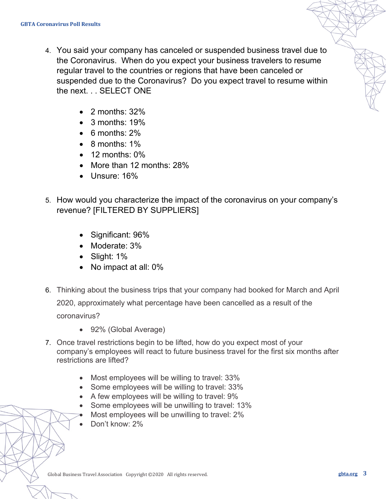- 4. You said your company has canceled or suspended business travel due to the Coronavirus. When do you expect your business travelers to resume regular travel to the countries or regions that have been canceled or suspended due to the Coronavirus? Do you expect travel to resume within the next. . . SELECT ONE
	- $\bullet$  2 months: 32%
	- $\bullet$  3 months: 19%
	- 6 months: 2%
	- 8 months: 1%
	- $\bullet$  12 months:  $0\%$
	- More than 12 months: 28%
	- Unsure: 16%
- 5. How would you characterize the impact of the coronavirus on your company's revenue? [FILTERED BY SUPPLIERS]
	- Significant: 96%
	- Moderate: 3%
	- Slight: 1%
	- No impact at all: 0%
- 6. Thinking about the business trips that your company had booked for March and April 2020, approximately what percentage have been cancelled as a result of the coronavirus?
	- 92% (Global Average)
- 7. Once travel restrictions begin to be lifted, how do you expect most of your company's employees will react to future business travel for the first six months after restrictions are lifted?
	- Most employees will be willing to travel: 33%
	- Some employees will be willing to travel: 33%
	- A few employees will be willing to travel: 9%
	- Some employees will be unwilling to travel: 13%
	- Most employees will be unwilling to travel: 2%
	- Don't know: 2%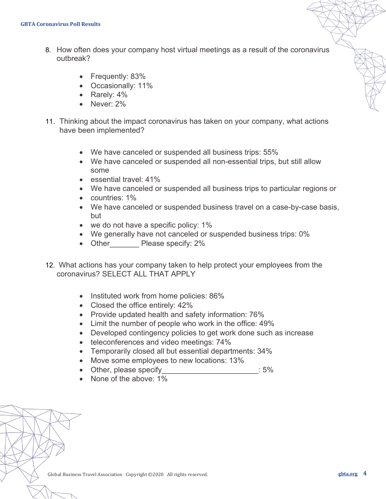- 8. How often does your company host virtual meetings as a result of the coronavirus outbreak?
	- Frequently: 83%
	- Occasionally: 11%
	- Rarely: 4%
	- Never: 2%
- 11. Thinking about the impact coronavirus has taken on your company, what actions have been implemented?
	- We have canceled or suspended all business trips: 55%
	- We have canceled or suspended all non-essential trips, but still allow some
	- essential travel: 41%
	- We have canceled or suspended all business trips to particular regions or
	- countries: 1%
	- We have canceled or suspended business travel on a case-by-case basis, but
	- we do not have a specific policy: 1%
	- We generally have not canceled or suspended business trips: 0%
	- Other Please specify: 2%
- 12. What actions has your company taken to help protect your employees from the coronavirus? SELECT ALL THAT APPLY
	- Instituted work from home policies: 86%
	- Closed the office entirely: 42%
	- Provide updated health and safety information: 76%
	- Limit the number of people who work in the office: 49%
	- Developed contingency policies to get work done such as increase
	- teleconferences and video meetings: 74%
	- Temporarily closed all but essential departments: 34%
	- Move some employees to new locations: 13%
	- Other, please specify example and the state of  $\sim$  5%
	- None of the above: 1%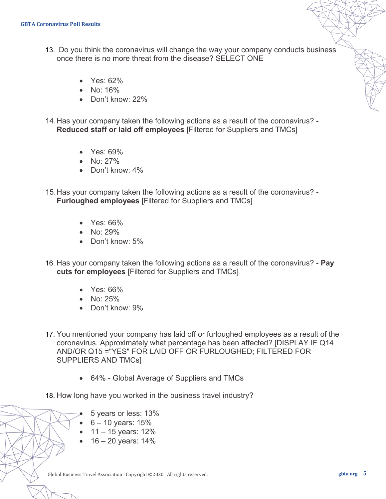- 13. Do you think the coronavirus will change the way your company conducts business once there is no more threat from the disease? SELECT ONE
	- Yes: 62%
	- No: 16%
	- Don't know: 22%
- 14.Has your company taken the following actions as a result of the coronavirus? **Reduced staff or laid off employees** [Filtered for Suppliers and TMCs]
	- Yes: 69%
	- No: 27%
	- Don't know: 4%
- 15.Has your company taken the following actions as a result of the coronavirus? **Furloughed employees** [Filtered for Suppliers and TMCs]
	- Yes: 66%
	- No: 29%
	- Don't know: 5%
- 16. Has your company taken the following actions as a result of the coronavirus? **Pay cuts for employees** [Filtered for Suppliers and TMCs]
	- Yes: 66%
	- No: 25%
	- Don't know: 9%
- 17. You mentioned your company has laid off or furloughed employees as a result of the coronavirus. Approximately what percentage has been affected? [DISPLAY IF Q14 AND/OR Q15 ="YES" FOR LAID OFF OR FURLOUGHED; FILTERED FOR SUPPLIERS AND TMCs]
	- 64% Global Average of Suppliers and TMCs
- 18. How long have you worked in the business travel industry?
	- 5 years or less: 13%
	- $6 10$  years:  $15%$
	- 11 15 years: 12%
	- 16 20 years: 14%